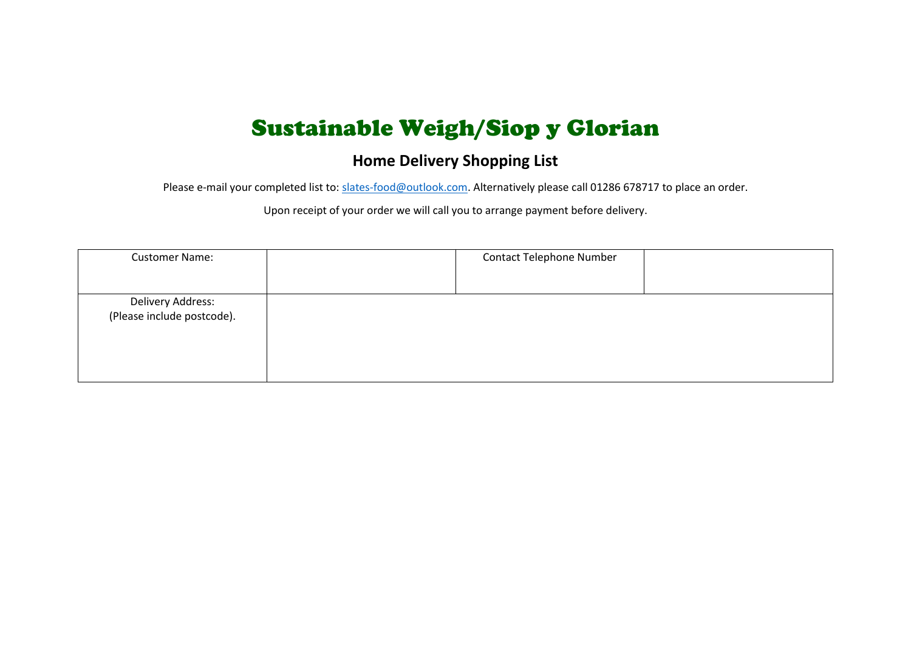## Sustainable Weigh/Siop y Glorian

## **Home Delivery Shopping List**

Please e-mail your completed list to: [slates-food@outlook.com.](mailto:slates-food@outlook.com) Alternatively please call 01286 678717 to place an order.

Upon receipt of your order we will call you to arrange payment before delivery.

| <b>Customer Name:</b>                           | <b>Contact Telephone Number</b> |  |
|-------------------------------------------------|---------------------------------|--|
| Delivery Address:<br>(Please include postcode). |                                 |  |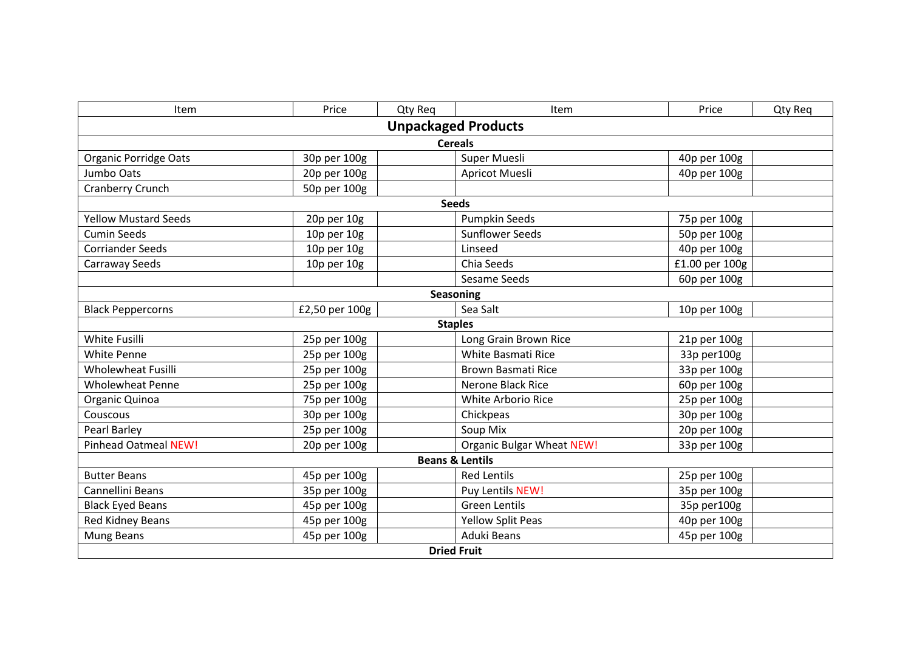| Item                         | Price            | Qty Req | Item                             | Price          | Qty Req |  |  |  |
|------------------------------|------------------|---------|----------------------------------|----------------|---------|--|--|--|
| <b>Unpackaged Products</b>   |                  |         |                                  |                |         |  |  |  |
| <b>Cereals</b>               |                  |         |                                  |                |         |  |  |  |
| <b>Organic Porridge Oats</b> | 30p per 100g     |         | Super Muesli                     | 40p per 100g   |         |  |  |  |
| Jumbo Oats                   | 20p per 100g     |         | <b>Apricot Muesli</b>            | 40p per 100g   |         |  |  |  |
| Cranberry Crunch             | 50p per 100g     |         |                                  |                |         |  |  |  |
|                              |                  |         | <b>Seeds</b>                     |                |         |  |  |  |
| <b>Yellow Mustard Seeds</b>  | 20p per 10g      |         | <b>Pumpkin Seeds</b>             | 75p per 100g   |         |  |  |  |
| <b>Cumin Seeds</b>           | 10p per 10g      |         | <b>Sunflower Seeds</b>           | 50p per 100g   |         |  |  |  |
| <b>Corriander Seeds</b>      | $10p$ per $10g$  |         | Linseed                          | 40p per 100g   |         |  |  |  |
| Carraway Seeds               | 10p per 10g      |         | Chia Seeds                       | £1.00 per 100g |         |  |  |  |
|                              |                  |         | Sesame Seeds                     | 60p per 100g   |         |  |  |  |
|                              | <b>Seasoning</b> |         |                                  |                |         |  |  |  |
| <b>Black Peppercorns</b>     | £2,50 per 100g   |         | Sea Salt                         | 10p per 100g   |         |  |  |  |
| <b>Staples</b>               |                  |         |                                  |                |         |  |  |  |
| White Fusilli                | 25p per 100g     |         | Long Grain Brown Rice            | 21p per 100g   |         |  |  |  |
| White Penne                  | 25p per 100g     |         | <b>White Basmati Rice</b>        | 33p per100g    |         |  |  |  |
| <b>Wholewheat Fusilli</b>    | 25p per 100g     |         | <b>Brown Basmati Rice</b>        | 33p per 100g   |         |  |  |  |
| <b>Wholewheat Penne</b>      | 25p per 100g     |         | <b>Nerone Black Rice</b>         | 60p per 100g   |         |  |  |  |
| Organic Quinoa               | 75p per 100g     |         | <b>White Arborio Rice</b>        | 25p per 100g   |         |  |  |  |
| Couscous                     | 30p per 100g     |         | Chickpeas                        | 30p per 100g   |         |  |  |  |
| Pearl Barley                 | 25p per 100g     |         | Soup Mix                         | 20p per 100g   |         |  |  |  |
| <b>Pinhead Oatmeal NEW!</b>  | 20p per 100g     |         | <b>Organic Bulgar Wheat NEW!</b> | 33p per 100g   |         |  |  |  |
| <b>Beans &amp; Lentils</b>   |                  |         |                                  |                |         |  |  |  |
| <b>Butter Beans</b>          | 45p per 100g     |         | <b>Red Lentils</b>               | 25p per 100g   |         |  |  |  |
| Cannellini Beans             | 35p per 100g     |         | Puy Lentils NEW!                 | 35p per 100g   |         |  |  |  |
| <b>Black Eyed Beans</b>      | 45p per 100g     |         | <b>Green Lentils</b>             | 35p per100g    |         |  |  |  |
| Red Kidney Beans             | 45p per 100g     |         | <b>Yellow Split Peas</b>         | 40p per 100g   |         |  |  |  |
| <b>Mung Beans</b>            | 45p per 100g     |         | Aduki Beans                      | 45p per 100g   |         |  |  |  |
| <b>Dried Fruit</b>           |                  |         |                                  |                |         |  |  |  |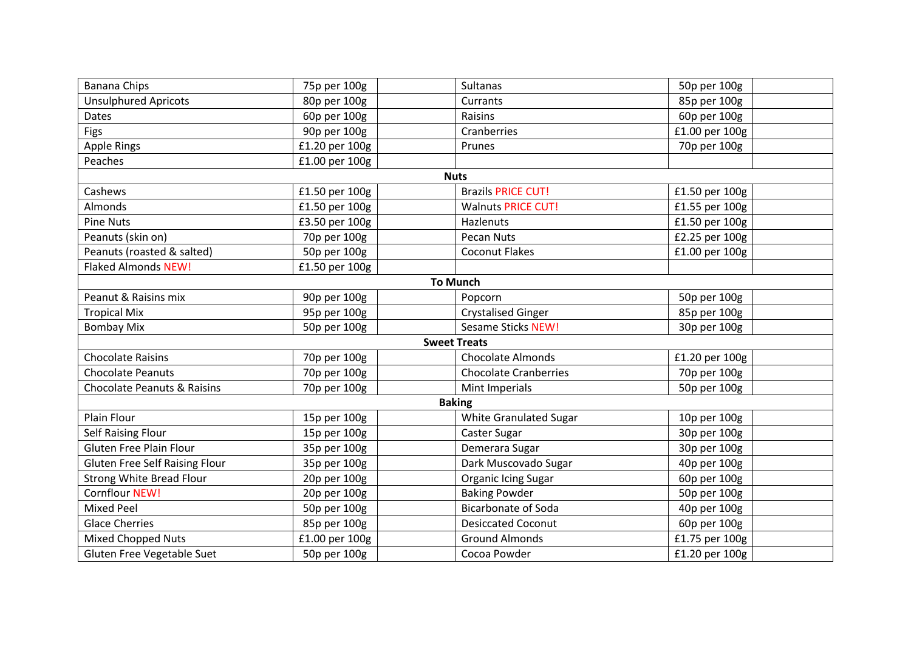| <b>Banana Chips</b>                    | 75p per 100g   | <b>Sultanas</b>              | 50p per 100g   |  |  |  |  |
|----------------------------------------|----------------|------------------------------|----------------|--|--|--|--|
| <b>Unsulphured Apricots</b>            | 80p per 100g   | Currants                     | 85p per 100g   |  |  |  |  |
| Dates                                  | 60p per 100g   | Raisins                      | 60p per 100g   |  |  |  |  |
| Figs                                   | 90p per 100g   | Cranberries                  | £1.00 per 100g |  |  |  |  |
| <b>Apple Rings</b>                     | £1.20 per 100g | Prunes                       | 70p per 100g   |  |  |  |  |
| Peaches                                | £1.00 per 100g |                              |                |  |  |  |  |
|                                        |                | <b>Nuts</b>                  |                |  |  |  |  |
| Cashews                                | £1.50 per 100g | <b>Brazils PRICE CUT!</b>    | £1.50 per 100g |  |  |  |  |
| Almonds                                | £1.50 per 100g | <b>Walnuts PRICE CUT!</b>    | £1.55 per 100g |  |  |  |  |
| <b>Pine Nuts</b>                       | £3.50 per 100g | Hazlenuts                    | £1.50 per 100g |  |  |  |  |
| Peanuts (skin on)                      | 70p per 100g   | <b>Pecan Nuts</b>            | £2.25 per 100g |  |  |  |  |
| Peanuts (roasted & salted)             | 50p per 100g   | <b>Coconut Flakes</b>        | £1.00 per 100g |  |  |  |  |
| <b>Flaked Almonds NEW!</b>             | £1.50 per 100g |                              |                |  |  |  |  |
|                                        |                | <b>To Munch</b>              |                |  |  |  |  |
| Peanut & Raisins mix                   | 90p per 100g   | Popcorn                      | 50p per 100g   |  |  |  |  |
| <b>Tropical Mix</b>                    | 95p per 100g   | <b>Crystalised Ginger</b>    | 85p per 100g   |  |  |  |  |
| <b>Bombay Mix</b>                      | 50p per 100g   | <b>Sesame Sticks NEW!</b>    | 30p per 100g   |  |  |  |  |
| <b>Sweet Treats</b>                    |                |                              |                |  |  |  |  |
| <b>Chocolate Raisins</b>               | 70p per 100g   | <b>Chocolate Almonds</b>     | £1.20 per 100g |  |  |  |  |
| <b>Chocolate Peanuts</b>               | 70p per 100g   | <b>Chocolate Cranberries</b> | 70p per 100g   |  |  |  |  |
| <b>Chocolate Peanuts &amp; Raisins</b> | 70p per 100g   | Mint Imperials               | 50p per 100g   |  |  |  |  |
|                                        |                | <b>Baking</b>                |                |  |  |  |  |
| Plain Flour                            | 15p per 100g   | White Granulated Sugar       | 10p per 100g   |  |  |  |  |
| <b>Self Raising Flour</b>              | 15p per 100g   | Caster Sugar                 | 30p per 100g   |  |  |  |  |
| Gluten Free Plain Flour                | 35p per 100g   | Demerara Sugar               | 30p per 100g   |  |  |  |  |
| <b>Gluten Free Self Raising Flour</b>  | 35p per 100g   | Dark Muscovado Sugar         | 40p per 100g   |  |  |  |  |
| <b>Strong White Bread Flour</b>        | 20p per 100g   | <b>Organic Icing Sugar</b>   | 60p per 100g   |  |  |  |  |
| Cornflour NEW!                         | 20p per 100g   | <b>Baking Powder</b>         | 50p per 100g   |  |  |  |  |
| <b>Mixed Peel</b>                      | 50p per 100g   | <b>Bicarbonate of Soda</b>   | 40p per 100g   |  |  |  |  |
| <b>Glace Cherries</b>                  | 85p per 100g   | <b>Desiccated Coconut</b>    | 60p per 100g   |  |  |  |  |
| <b>Mixed Chopped Nuts</b>              | £1.00 per 100g | <b>Ground Almonds</b>        | £1.75 per 100g |  |  |  |  |
| Gluten Free Vegetable Suet             | 50p per 100g   | Cocoa Powder                 | £1.20 per 100g |  |  |  |  |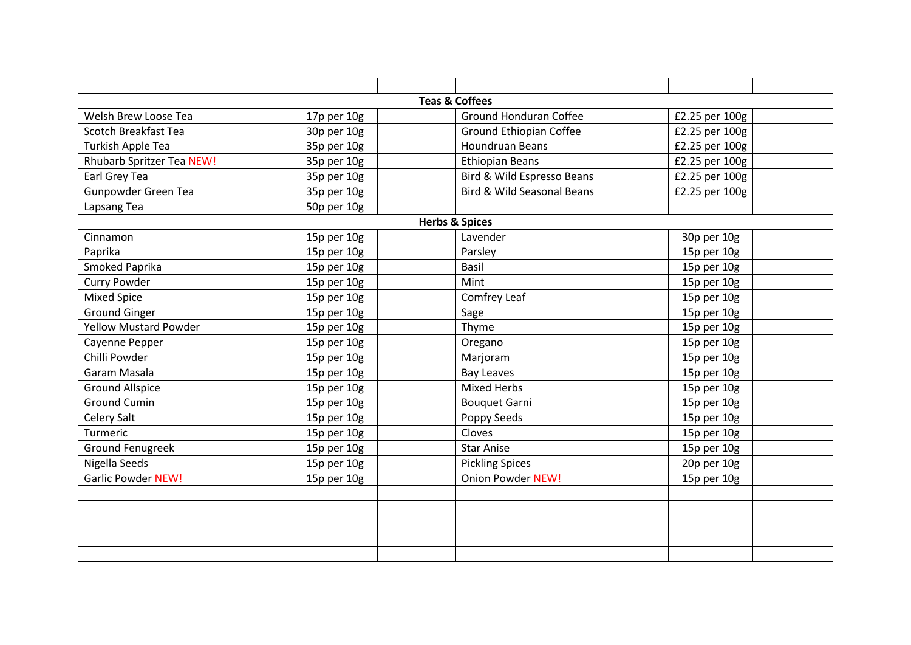|                                  |             | <b>Teas &amp; Coffees</b>             |                |  |
|----------------------------------|-------------|---------------------------------------|----------------|--|
| Welsh Brew Loose Tea             | 17p per 10g | <b>Ground Honduran Coffee</b>         | £2.25 per 100g |  |
| Scotch Breakfast Tea             | 30p per 10g | <b>Ground Ethiopian Coffee</b>        | £2.25 per 100g |  |
| Turkish Apple Tea                | 35p per 10g | <b>Houndruan Beans</b>                | £2.25 per 100g |  |
| <b>Rhubarb Spritzer Tea NEW!</b> | 35p per 10g | <b>Ethiopian Beans</b>                | £2.25 per 100g |  |
| Earl Grey Tea                    | 35p per 10g | Bird & Wild Espresso Beans            | £2.25 per 100g |  |
| Gunpowder Green Tea              | 35p per 10g | <b>Bird &amp; Wild Seasonal Beans</b> | £2.25 per 100g |  |
| Lapsang Tea                      | 50p per 10g |                                       |                |  |
|                                  |             | <b>Herbs &amp; Spices</b>             |                |  |
| Cinnamon                         | 15p per 10g | Lavender                              | 30p per 10g    |  |
| Paprika                          | 15p per 10g | Parsley                               | 15p per 10g    |  |
| Smoked Paprika                   | 15p per 10g | Basil                                 | 15p per 10g    |  |
| <b>Curry Powder</b>              | 15p per 10g | Mint                                  | 15p per 10g    |  |
| <b>Mixed Spice</b>               | 15p per 10g | Comfrey Leaf                          | 15p per 10g    |  |
| <b>Ground Ginger</b>             | 15p per 10g | Sage                                  | 15p per 10g    |  |
| <b>Yellow Mustard Powder</b>     | 15p per 10g | Thyme                                 | 15p per 10g    |  |
| Cayenne Pepper                   | 15p per 10g | Oregano                               | 15p per 10g    |  |
| Chilli Powder                    | 15p per 10g | Marjoram                              | 15p per 10g    |  |
| Garam Masala                     | 15p per 10g | <b>Bay Leaves</b>                     | 15p per 10g    |  |
| <b>Ground Allspice</b>           | 15p per 10g | <b>Mixed Herbs</b>                    | 15p per 10g    |  |
| <b>Ground Cumin</b>              | 15p per 10g | <b>Bouquet Garni</b>                  | 15p per 10g    |  |
| <b>Celery Salt</b>               | 15p per 10g | Poppy Seeds                           | 15p per 10g    |  |
| Turmeric                         | 15p per 10g | Cloves                                | 15p per 10g    |  |
| <b>Ground Fenugreek</b>          | 15p per 10g | <b>Star Anise</b>                     | 15p per 10g    |  |
| Nigella Seeds                    | 15p per 10g | <b>Pickling Spices</b>                | 20p per 10g    |  |
| <b>Garlic Powder NEW!</b>        | 15p per 10g | <b>Onion Powder NEW!</b>              | 15p per 10g    |  |
|                                  |             |                                       |                |  |
|                                  |             |                                       |                |  |
|                                  |             |                                       |                |  |
|                                  |             |                                       |                |  |
|                                  |             |                                       |                |  |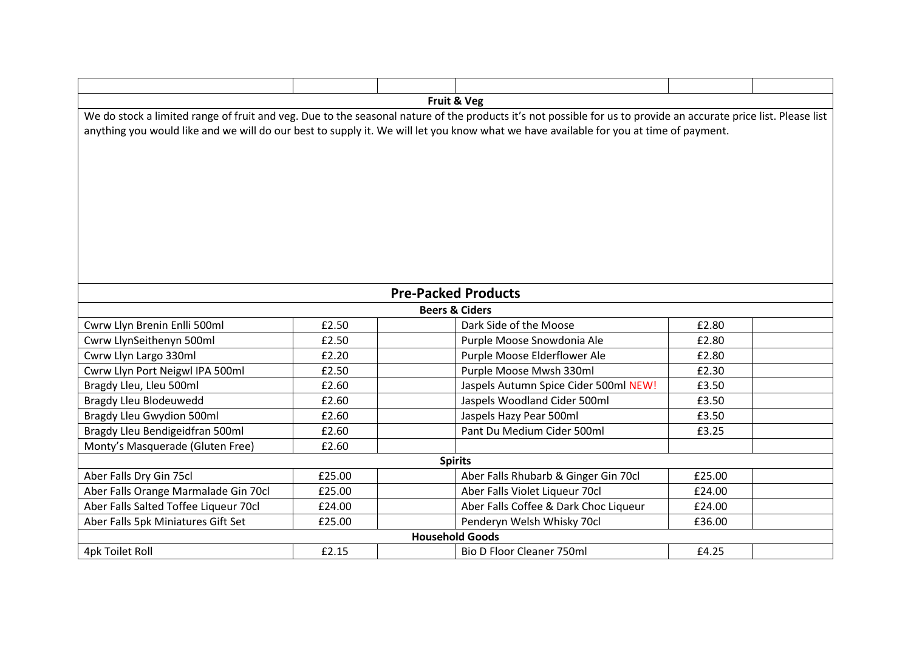| Fruit & Veg<br>We do stock a limited range of fruit and veg. Due to the seasonal nature of the products it's not possible for us to provide an accurate price list. Please list<br>anything you would like and we will do our best to supply it. We will let you know what we have available for you at time of payment. |                            |                           |                                       |        |  |  |  |
|--------------------------------------------------------------------------------------------------------------------------------------------------------------------------------------------------------------------------------------------------------------------------------------------------------------------------|----------------------------|---------------------------|---------------------------------------|--------|--|--|--|
|                                                                                                                                                                                                                                                                                                                          | <b>Pre-Packed Products</b> |                           |                                       |        |  |  |  |
|                                                                                                                                                                                                                                                                                                                          |                            | <b>Beers &amp; Ciders</b> |                                       |        |  |  |  |
| Cwrw Llyn Brenin Enlli 500ml                                                                                                                                                                                                                                                                                             | £2.50                      |                           | Dark Side of the Moose                | £2.80  |  |  |  |
| Cwrw LlynSeithenyn 500ml                                                                                                                                                                                                                                                                                                 | £2.50                      |                           | Purple Moose Snowdonia Ale            | £2.80  |  |  |  |
| Cwrw Llyn Largo 330ml                                                                                                                                                                                                                                                                                                    | £2.20                      |                           | Purple Moose Elderflower Ale          | £2.80  |  |  |  |
| Cwrw Llyn Port Neigwl IPA 500ml                                                                                                                                                                                                                                                                                          | £2.50                      |                           | Purple Moose Mwsh 330ml               | £2.30  |  |  |  |
| Bragdy Lleu, Lleu 500ml                                                                                                                                                                                                                                                                                                  | £2.60                      |                           | Jaspels Autumn Spice Cider 500ml NEW! | £3.50  |  |  |  |
| Bragdy Lleu Blodeuwedd                                                                                                                                                                                                                                                                                                   | £2.60                      |                           | Jaspels Woodland Cider 500ml          | £3.50  |  |  |  |
| Bragdy Lleu Gwydion 500ml                                                                                                                                                                                                                                                                                                | £2.60                      |                           | Jaspels Hazy Pear 500ml               | £3.50  |  |  |  |
| Bragdy Lleu Bendigeidfran 500ml                                                                                                                                                                                                                                                                                          | £2.60                      |                           | Pant Du Medium Cider 500ml            | £3.25  |  |  |  |
| Monty's Masquerade (Gluten Free)                                                                                                                                                                                                                                                                                         | £2.60                      |                           |                                       |        |  |  |  |
| <b>Spirits</b>                                                                                                                                                                                                                                                                                                           |                            |                           |                                       |        |  |  |  |
| Aber Falls Dry Gin 75cl                                                                                                                                                                                                                                                                                                  | £25.00                     |                           | Aber Falls Rhubarb & Ginger Gin 70cl  | £25.00 |  |  |  |
| Aber Falls Orange Marmalade Gin 70cl                                                                                                                                                                                                                                                                                     | £25.00                     |                           | Aber Falls Violet Liqueur 70cl        | £24.00 |  |  |  |
| Aber Falls Salted Toffee Liqueur 70cl                                                                                                                                                                                                                                                                                    | £24.00                     |                           | Aber Falls Coffee & Dark Choc Liqueur | £24.00 |  |  |  |
| Aber Falls 5pk Miniatures Gift Set                                                                                                                                                                                                                                                                                       | £25.00                     |                           | Penderyn Welsh Whisky 70cl            | £36.00 |  |  |  |
| <b>Household Goods</b>                                                                                                                                                                                                                                                                                                   |                            |                           |                                       |        |  |  |  |
| 4pk Toilet Roll                                                                                                                                                                                                                                                                                                          | £2.15                      |                           | <b>Bio D Floor Cleaner 750ml</b>      | £4.25  |  |  |  |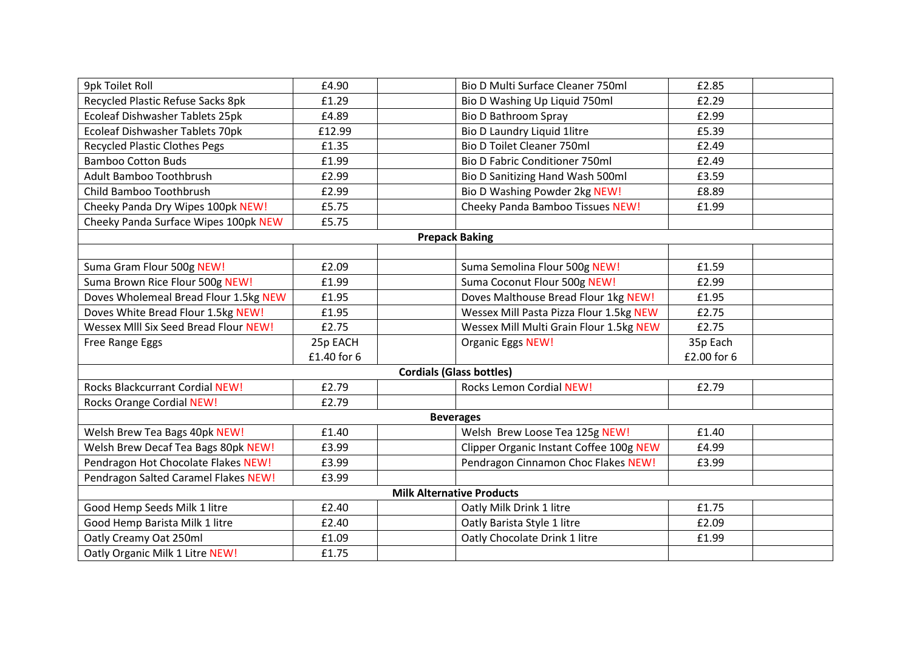| <b>9pk Toilet Roll</b>                 | £4.90       | <b>Bio D Multi Surface Cleaner 750ml</b> | £2.85       |  |
|----------------------------------------|-------------|------------------------------------------|-------------|--|
| Recycled Plastic Refuse Sacks 8pk      | £1.29       | Bio D Washing Up Liquid 750ml            | £2.29       |  |
| Ecoleaf Dishwasher Tablets 25pk        | £4.89       | <b>Bio D Bathroom Spray</b>              | £2.99       |  |
| Ecoleaf Dishwasher Tablets 70pk        | £12.99      | Bio D Laundry Liquid 1litre              | £5.39       |  |
| <b>Recycled Plastic Clothes Pegs</b>   | £1.35       | <b>Bio D Toilet Cleaner 750ml</b>        | £2.49       |  |
| <b>Bamboo Cotton Buds</b>              | £1.99       | <b>Bio D Fabric Conditioner 750ml</b>    | £2.49       |  |
| Adult Bamboo Toothbrush                | £2.99       | Bio D Sanitizing Hand Wash 500ml         | £3.59       |  |
| Child Bamboo Toothbrush                | £2.99       | <b>Bio D Washing Powder 2kg NEW!</b>     | £8.89       |  |
| Cheeky Panda Dry Wipes 100pk NEW!      | £5.75       | <b>Cheeky Panda Bamboo Tissues NEW!</b>  | £1.99       |  |
| Cheeky Panda Surface Wipes 100pk NEW   | £5.75       |                                          |             |  |
|                                        |             | <b>Prepack Baking</b>                    |             |  |
|                                        |             |                                          |             |  |
| Suma Gram Flour 500g NEW!              | £2.09       | Suma Semolina Flour 500g NEW!            | £1.59       |  |
| Suma Brown Rice Flour 500g NEW!        | £1.99       | Suma Coconut Flour 500g NEW!             | £2.99       |  |
| Doves Wholemeal Bread Flour 1.5kg NEW  | £1.95       | Doves Malthouse Bread Flour 1kg NEW!     | £1.95       |  |
| Doves White Bread Flour 1.5kg NEW!     | £1.95       | Wessex Mill Pasta Pizza Flour 1.5kg NEW  | £2.75       |  |
| Wessex MIII Six Seed Bread Flour NEW!  | £2.75       | Wessex Mill Multi Grain Flour 1.5kg NEW  | £2.75       |  |
| Free Range Eggs                        | 25p EACH    | Organic Eggs NEW!                        | 35p Each    |  |
|                                        | £1.40 for 6 |                                          | £2.00 for 6 |  |
|                                        |             | <b>Cordials (Glass bottles)</b>          |             |  |
| <b>Rocks Blackcurrant Cordial NEW!</b> | £2.79       | <b>Rocks Lemon Cordial NEW!</b>          | £2.79       |  |
| <b>Rocks Orange Cordial NEW!</b>       | £2.79       |                                          |             |  |
|                                        |             | <b>Beverages</b>                         |             |  |
| Welsh Brew Tea Bags 40pk NEW!          | £1.40       | Welsh Brew Loose Tea 125g NEW!           | £1.40       |  |
| Welsh Brew Decaf Tea Bags 80pk NEW!    | £3.99       | Clipper Organic Instant Coffee 100g NEW  | £4.99       |  |
| Pendragon Hot Chocolate Flakes NEW!    | £3.99       | Pendragon Cinnamon Choc Flakes NEW!      | £3.99       |  |
| Pendragon Salted Caramel Flakes NEW!   | £3.99       |                                          |             |  |
|                                        |             | <b>Milk Alternative Products</b>         |             |  |
| Good Hemp Seeds Milk 1 litre           | £2.40       | Oatly Milk Drink 1 litre                 | £1.75       |  |
| Good Hemp Barista Milk 1 litre         | £2.40       | Oatly Barista Style 1 litre              | £2.09       |  |
| Oatly Creamy Oat 250ml                 | £1.09       | Oatly Chocolate Drink 1 litre            | £1.99       |  |
| Oatly Organic Milk 1 Litre NEW!        | £1.75       |                                          |             |  |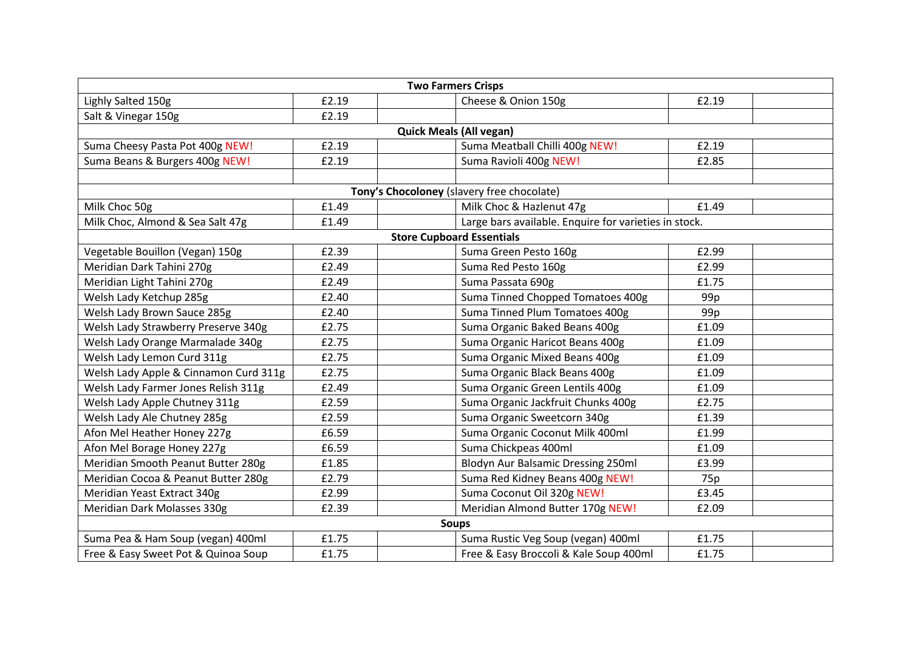| <b>Two Farmers Crisps</b>             |                                |  |                                                       |                 |  |  |  |  |
|---------------------------------------|--------------------------------|--|-------------------------------------------------------|-----------------|--|--|--|--|
| Lighly Salted 150g                    | £2.19                          |  | Cheese & Onion 150g                                   | £2.19           |  |  |  |  |
| Salt & Vinegar 150g                   | £2.19                          |  |                                                       |                 |  |  |  |  |
|                                       | <b>Quick Meals (All vegan)</b> |  |                                                       |                 |  |  |  |  |
| Suma Cheesy Pasta Pot 400g NEW!       | £2.19                          |  | Suma Meatball Chilli 400g NEW!                        | £2.19           |  |  |  |  |
| Suma Beans & Burgers 400g NEW!        | £2.19                          |  | Suma Ravioli 400g NEW!                                | £2.85           |  |  |  |  |
|                                       |                                |  |                                                       |                 |  |  |  |  |
|                                       |                                |  | Tony's Chocoloney (slavery free chocolate)            |                 |  |  |  |  |
| Milk Choc 50g                         | £1.49                          |  | Milk Choc & Hazlenut 47g                              | £1.49           |  |  |  |  |
| Milk Choc, Almond & Sea Salt 47g      | £1.49                          |  | Large bars available. Enquire for varieties in stock. |                 |  |  |  |  |
|                                       |                                |  | <b>Store Cupboard Essentials</b>                      |                 |  |  |  |  |
| Vegetable Bouillon (Vegan) 150g       | £2.39                          |  | Suma Green Pesto 160g                                 | £2.99           |  |  |  |  |
| Meridian Dark Tahini 270g             | £2.49                          |  | Suma Red Pesto 160g                                   | £2.99           |  |  |  |  |
| Meridian Light Tahini 270g            | £2.49                          |  | Suma Passata 690g                                     | £1.75           |  |  |  |  |
| Welsh Lady Ketchup 285g               | £2.40                          |  | Suma Tinned Chopped Tomatoes 400g                     | 99 <sub>p</sub> |  |  |  |  |
| Welsh Lady Brown Sauce 285g           | £2.40                          |  | Suma Tinned Plum Tomatoes 400g                        | 99p             |  |  |  |  |
| Welsh Lady Strawberry Preserve 340g   | £2.75                          |  | Suma Organic Baked Beans 400g                         | £1.09           |  |  |  |  |
| Welsh Lady Orange Marmalade 340g      | £2.75                          |  | Suma Organic Haricot Beans 400g                       | £1.09           |  |  |  |  |
| Welsh Lady Lemon Curd 311g            | £2.75                          |  | Suma Organic Mixed Beans 400g                         | £1.09           |  |  |  |  |
| Welsh Lady Apple & Cinnamon Curd 311g | £2.75                          |  | Suma Organic Black Beans 400g                         | £1.09           |  |  |  |  |
| Welsh Lady Farmer Jones Relish 311g   | £2.49                          |  | Suma Organic Green Lentils 400g                       | £1.09           |  |  |  |  |
| Welsh Lady Apple Chutney 311g         | £2.59                          |  | Suma Organic Jackfruit Chunks 400g                    | £2.75           |  |  |  |  |
| Welsh Lady Ale Chutney 285g           | £2.59                          |  | Suma Organic Sweetcorn 340g                           | £1.39           |  |  |  |  |
| Afon Mel Heather Honey 227g           | £6.59                          |  | Suma Organic Coconut Milk 400ml                       | £1.99           |  |  |  |  |
| Afon Mel Borage Honey 227g            | £6.59                          |  | Suma Chickpeas 400ml                                  | £1.09           |  |  |  |  |
| Meridian Smooth Peanut Butter 280g    | £1.85                          |  | <b>Blodyn Aur Balsamic Dressing 250ml</b>             | £3.99           |  |  |  |  |
| Meridian Cocoa & Peanut Butter 280g   | £2.79                          |  | Suma Red Kidney Beans 400g NEW!                       | 75p             |  |  |  |  |
| Meridian Yeast Extract 340g           | £2.99                          |  | Suma Coconut Oil 320g NEW!                            | £3.45           |  |  |  |  |
| Meridian Dark Molasses 330g           | £2.39                          |  | Meridian Almond Butter 170g NEW!                      | £2.09           |  |  |  |  |
|                                       |                                |  | <b>Soups</b>                                          |                 |  |  |  |  |
| Suma Pea & Ham Soup (vegan) 400ml     | £1.75                          |  | Suma Rustic Veg Soup (vegan) 400ml                    | £1.75           |  |  |  |  |
| Free & Easy Sweet Pot & Quinoa Soup   | £1.75                          |  | Free & Easy Broccoli & Kale Soup 400ml                | £1.75           |  |  |  |  |